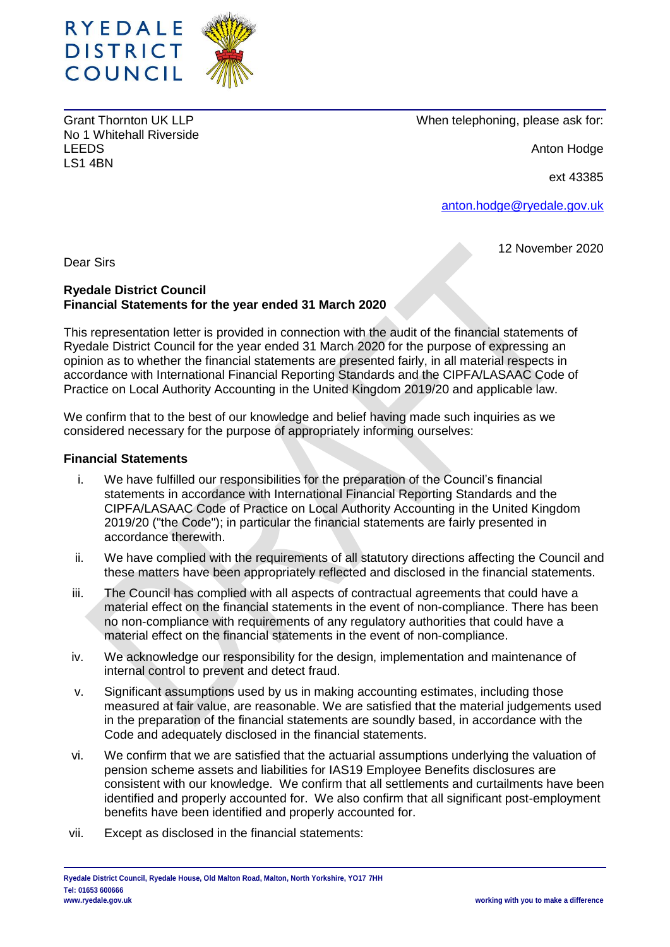

Grant Thornton UK LLP No 1 Whitehall Riverside LEEDS LS1 4BN

When telephoning, please ask for:

Anton Hodge

ext 43385

[anton.hodge@ryedale.gov.uk](mailto:anton.hodge@ryedale.gov.uk)

12 November 2020

Dear Sirs

## **Ryedale District Council Financial Statements for the year ended 31 March 2020**

This representation letter is provided in connection with the audit of the financial statements of Ryedale District Council for the year ended 31 March 2020 for the purpose of expressing an opinion as to whether the financial statements are presented fairly, in all material respects in accordance with International Financial Reporting Standards and the CIPFA/LASAAC Code of Practice on Local Authority Accounting in the United Kingdom 2019/20 and applicable law.

We confirm that to the best of our knowledge and belief having made such inquiries as we considered necessary for the purpose of appropriately informing ourselves:

### **Financial Statements**

- i. We have fulfilled our responsibilities for the preparation of the Council's financial statements in accordance with International Financial Reporting Standards and the CIPFA/LASAAC Code of Practice on Local Authority Accounting in the United Kingdom 2019/20 ("the Code"); in particular the financial statements are fairly presented in accordance therewith.
- ii. We have complied with the requirements of all statutory directions affecting the Council and these matters have been appropriately reflected and disclosed in the financial statements.
- iii. The Council has complied with all aspects of contractual agreements that could have a material effect on the financial statements in the event of non-compliance. There has been no non-compliance with requirements of any regulatory authorities that could have a material effect on the financial statements in the event of non-compliance.
- iv. We acknowledge our responsibility for the design, implementation and maintenance of internal control to prevent and detect fraud.
- v. Significant assumptions used by us in making accounting estimates, including those measured at fair value, are reasonable. We are satisfied that the material judgements used in the preparation of the financial statements are soundly based, in accordance with the Code and adequately disclosed in the financial statements.
- vi. We confirm that we are satisfied that the actuarial assumptions underlying the valuation of pension scheme assets and liabilities for IAS19 Employee Benefits disclosures are consistent with our knowledge. We confirm that all settlements and curtailments have been identified and properly accounted for. We also confirm that all significant post-employment benefits have been identified and properly accounted for.
- vii. Except as disclosed in the financial statements: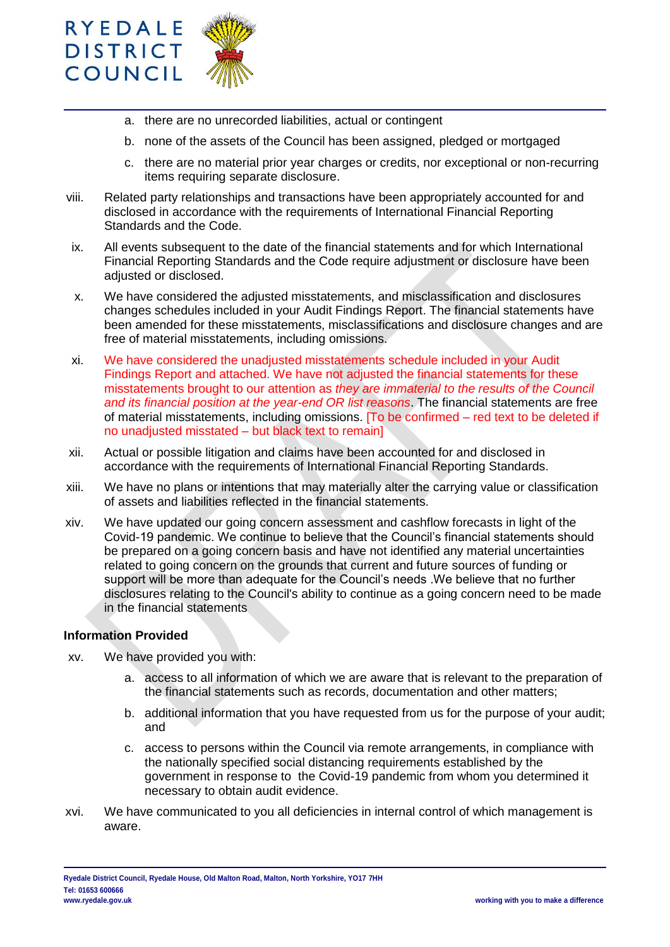

- a. there are no unrecorded liabilities, actual or contingent
- b. none of the assets of the Council has been assigned, pledged or mortgaged
- c. there are no material prior year charges or credits, nor exceptional or non-recurring items requiring separate disclosure.
- viii. Related party relationships and transactions have been appropriately accounted for and disclosed in accordance with the requirements of International Financial Reporting Standards and the Code.
- ix. All events subsequent to the date of the financial statements and for which International Financial Reporting Standards and the Code require adjustment or disclosure have been adjusted or disclosed.
- x. We have considered the adjusted misstatements, and misclassification and disclosures changes schedules included in your Audit Findings Report. The financial statements have been amended for these misstatements, misclassifications and disclosure changes and are free of material misstatements, including omissions.
- xi. We have considered the unadjusted misstatements schedule included in your Audit Findings Report and attached. We have not adjusted the financial statements for these misstatements brought to our attention as *they are immaterial to the results of the Council and its financial position at the year-end OR list reasons*. The financial statements are free of material misstatements, including omissions. [To be confirmed – red text to be deleted if no unadjusted misstated – but black text to remain]
- xii. Actual or possible litigation and claims have been accounted for and disclosed in accordance with the requirements of International Financial Reporting Standards.
- xiii. We have no plans or intentions that may materially alter the carrying value or classification of assets and liabilities reflected in the financial statements.
- xiv. We have updated our going concern assessment and cashflow forecasts in light of the Covid-19 pandemic. We continue to believe that the Council's financial statements should be prepared on a going concern basis and have not identified any material uncertainties related to going concern on the grounds that current and future sources of funding or support will be more than adequate for the Council's needs .We believe that no further disclosures relating to the Council's ability to continue as a going concern need to be made in the financial statements

### **Information Provided**

- xv. We have provided you with:
	- a. access to all information of which we are aware that is relevant to the preparation of the financial statements such as records, documentation and other matters;
	- b. additional information that you have requested from us for the purpose of your audit; and
	- c. access to persons within the Council via remote arrangements, in compliance with the nationally specified social distancing requirements established by the government in response to the Covid-19 pandemic from whom you determined it necessary to obtain audit evidence.
- xvi. We have communicated to you all deficiencies in internal control of which management is aware.